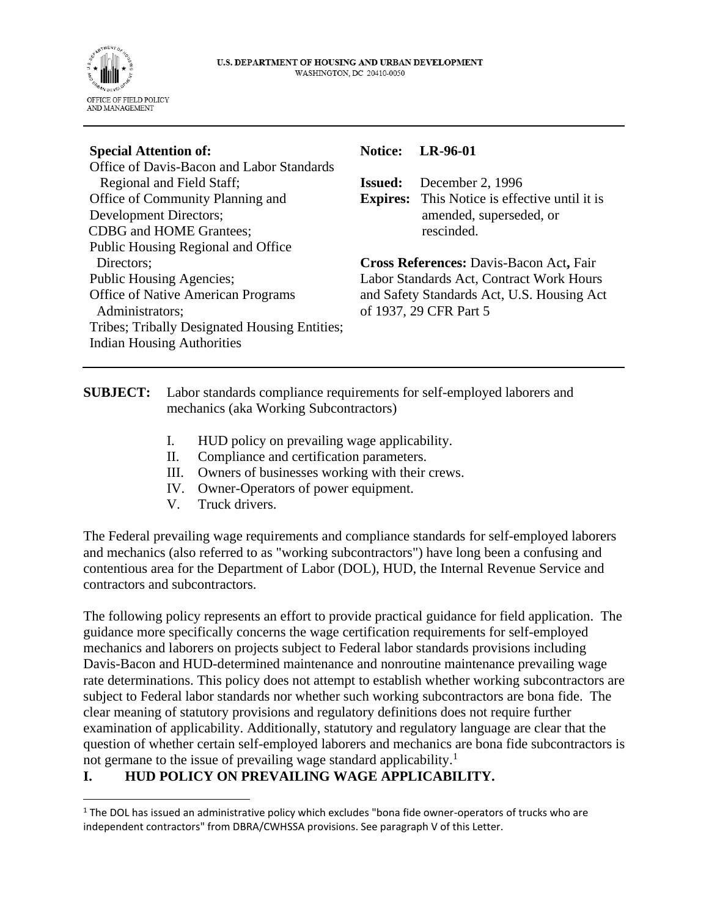

| <b>Special Attention of:</b>                          | <b>Notice:</b>                           | LR-96-01                                                             |
|-------------------------------------------------------|------------------------------------------|----------------------------------------------------------------------|
| Office of Davis-Bacon and Labor Standards             |                                          |                                                                      |
| Regional and Field Staff;                             | <b>Issued:</b>                           | December 2, 1996                                                     |
| Office of Community Planning and                      |                                          | <b>Expires:</b> This Notice is effective until it is                 |
| Development Directors;                                |                                          | amended, superseded, or                                              |
| <b>CDBG</b> and HOME Grantees;                        |                                          | rescinded.                                                           |
| Public Housing Regional and Office                    |                                          |                                                                      |
| Directors;                                            |                                          | Cross References: Davis-Bacon Act, Fair                              |
| <b>Public Housing Agencies;</b>                       | Labor Standards Act, Contract Work Hours |                                                                      |
| Office of Native American Programs<br>Administrators; |                                          | and Safety Standards Act, U.S. Housing Act<br>of 1937, 29 CFR Part 5 |
| Tribes; Tribally Designated Housing Entities;         |                                          |                                                                      |
| <b>Indian Housing Authorities</b>                     |                                          |                                                                      |
|                                                       |                                          |                                                                      |

## **SUBJECT:** Labor standards compliance requirements for self-employed laborers and mechanics (aka Working Subcontractors)

- I. HUD policy on prevailing wage applicability.
- II. Compliance and certification parameters.
- III. Owners of businesses working with their crews.
- IV. Owner-Operators of power equipment.
- V. Truck drivers.

The Federal prevailing wage requirements and compliance standards for self-employed laborers and mechanics (also referred to as "working subcontractors") have long been a confusing and contentious area for the Department of Labor (DOL), HUD, the Internal Revenue Service and contractors and subcontractors.

The following policy represents an effort to provide practical guidance for field application. The guidance more specifically concerns the wage certification requirements for self-employed mechanics and laborers on projects subject to Federal labor standards provisions including Davis-Bacon and HUD-determined maintenance and nonroutine maintenance prevailing wage rate determinations. This policy does not attempt to establish whether working subcontractors are subject to Federal labor standards nor whether such working subcontractors are bona fide. The clear meaning of statutory provisions and regulatory definitions does not require further examination of applicability. Additionally, statutory and regulatory language are clear that the question of whether certain self-employed laborers and mechanics are bona fide subcontractors is not germane to the issue of prevailing wage standard applicability.<sup>1</sup>

# **I. HUD POLICY ON PREVAILING WAGE APPLICABILITY.**

 $1$  The DOL has issued an administrative policy which excludes "bona fide owner-operators of trucks who are independent contractors" from DBRA/CWHSSA provisions. See paragraph V of this Letter.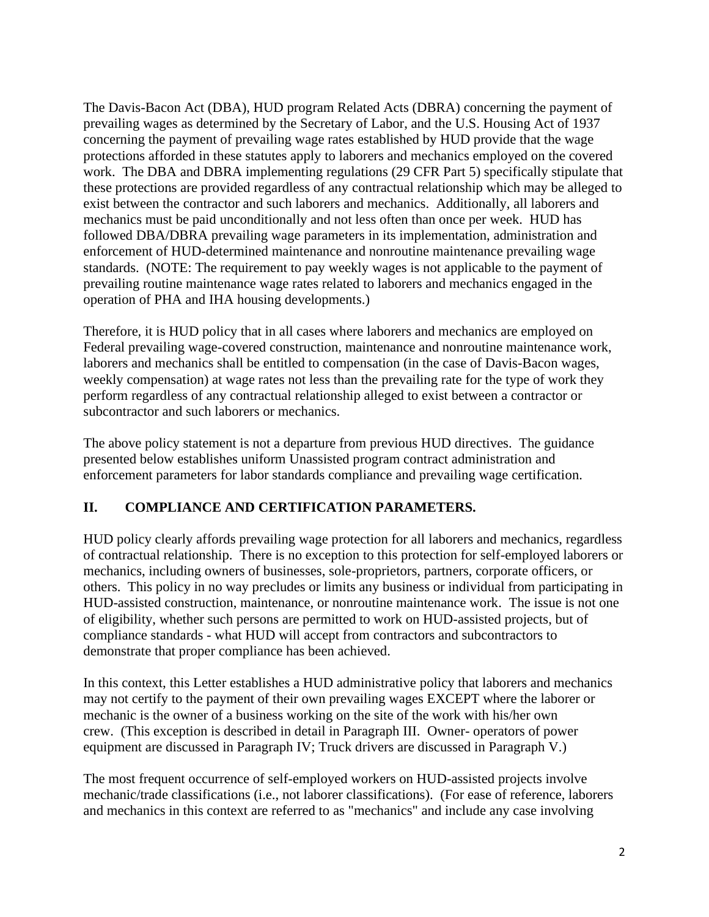The Davis-Bacon Act (DBA), HUD program Related Acts (DBRA) concerning the payment of prevailing wages as determined by the Secretary of Labor, and the U.S. Housing Act of 1937 concerning the payment of prevailing wage rates established by HUD provide that the wage protections afforded in these statutes apply to laborers and mechanics employed on the covered work. The DBA and DBRA implementing regulations (29 CFR Part 5) specifically stipulate that these protections are provided regardless of any contractual relationship which may be alleged to exist between the contractor and such laborers and mechanics. Additionally, all laborers and mechanics must be paid unconditionally and not less often than once per week. HUD has followed DBA/DBRA prevailing wage parameters in its implementation, administration and enforcement of HUD-determined maintenance and nonroutine maintenance prevailing wage standards. (NOTE: The requirement to pay weekly wages is not applicable to the payment of prevailing routine maintenance wage rates related to laborers and mechanics engaged in the operation of PHA and IHA housing developments.)

Therefore, it is HUD policy that in all cases where laborers and mechanics are employed on Federal prevailing wage-covered construction, maintenance and nonroutine maintenance work, laborers and mechanics shall be entitled to compensation (in the case of Davis-Bacon wages, weekly compensation) at wage rates not less than the prevailing rate for the type of work they perform regardless of any contractual relationship alleged to exist between a contractor or subcontractor and such laborers or mechanics.

The above policy statement is not a departure from previous HUD directives. The guidance presented below establishes uniform Unassisted program contract administration and enforcement parameters for labor standards compliance and prevailing wage certification.

# **II. COMPLIANCE AND CERTIFICATION PARAMETERS.**

HUD policy clearly affords prevailing wage protection for all laborers and mechanics, regardless of contractual relationship. There is no exception to this protection for self-employed laborers or mechanics, including owners of businesses, sole-proprietors, partners, corporate officers, or others. This policy in no way precludes or limits any business or individual from participating in HUD-assisted construction, maintenance, or nonroutine maintenance work. The issue is not one of eligibility, whether such persons are permitted to work on HUD-assisted projects, but of compliance standards - what HUD will accept from contractors and subcontractors to demonstrate that proper compliance has been achieved.

In this context, this Letter establishes a HUD administrative policy that laborers and mechanics may not certify to the payment of their own prevailing wages EXCEPT where the laborer or mechanic is the owner of a business working on the site of the work with his/her own crew. (This exception is described in detail in Paragraph III. Owner- operators of power equipment are discussed in Paragraph IV; Truck drivers are discussed in Paragraph V.)

The most frequent occurrence of self-employed workers on HUD-assisted projects involve mechanic/trade classifications (i.e., not laborer classifications). (For ease of reference, laborers and mechanics in this context are referred to as "mechanics" and include any case involving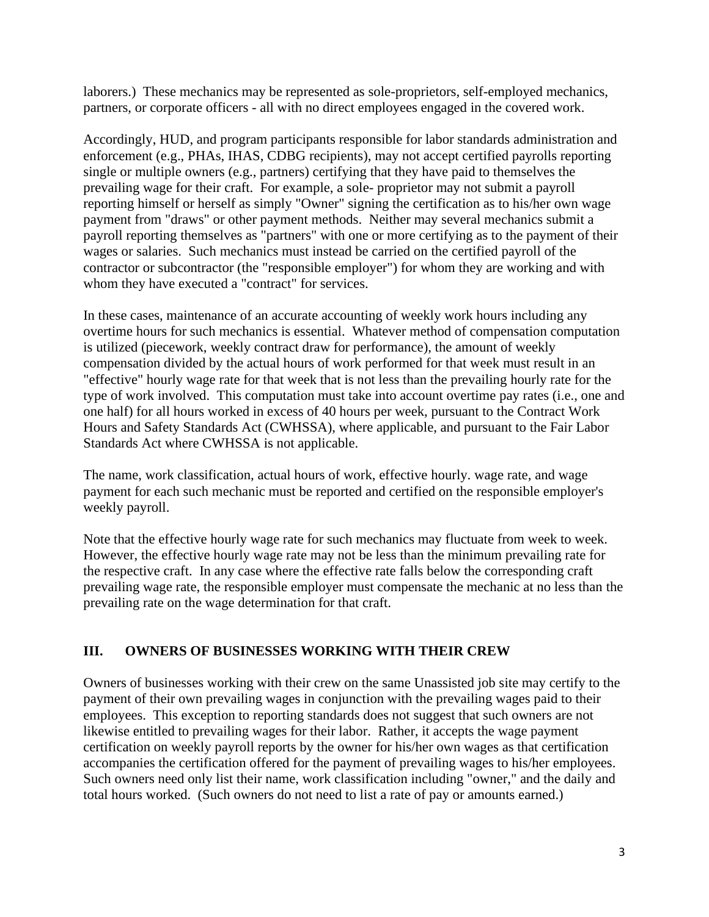laborers.) These mechanics may be represented as sole-proprietors, self-employed mechanics, partners, or corporate officers - all with no direct employees engaged in the covered work.

Accordingly, HUD, and program participants responsible for labor standards administration and enforcement (e.g., PHAs, IHAS, CDBG recipients), may not accept certified payrolls reporting single or multiple owners (e.g., partners) certifying that they have paid to themselves the prevailing wage for their craft. For example, a sole- proprietor may not submit a payroll reporting himself or herself as simply "Owner" signing the certification as to his/her own wage payment from "draws" or other payment methods. Neither may several mechanics submit a payroll reporting themselves as "partners" with one or more certifying as to the payment of their wages or salaries. Such mechanics must instead be carried on the certified payroll of the contractor or subcontractor (the "responsible employer") for whom they are working and with whom they have executed a "contract" for services.

In these cases, maintenance of an accurate accounting of weekly work hours including any overtime hours for such mechanics is essential. Whatever method of compensation computation is utilized (piecework, weekly contract draw for performance), the amount of weekly compensation divided by the actual hours of work performed for that week must result in an "effective" hourly wage rate for that week that is not less than the prevailing hourly rate for the type of work involved. This computation must take into account overtime pay rates (i.e., one and one half) for all hours worked in excess of 40 hours per week, pursuant to the Contract Work Hours and Safety Standards Act (CWHSSA), where applicable, and pursuant to the Fair Labor Standards Act where CWHSSA is not applicable.

The name, work classification, actual hours of work, effective hourly. wage rate, and wage payment for each such mechanic must be reported and certified on the responsible employer's weekly payroll.

Note that the effective hourly wage rate for such mechanics may fluctuate from week to week. However, the effective hourly wage rate may not be less than the minimum prevailing rate for the respective craft. In any case where the effective rate falls below the corresponding craft prevailing wage rate, the responsible employer must compensate the mechanic at no less than the prevailing rate on the wage determination for that craft.

#### **III. OWNERS OF BUSINESSES WORKING WITH THEIR CREW**

Owners of businesses working with their crew on the same Unassisted job site may certify to the payment of their own prevailing wages in conjunction with the prevailing wages paid to their employees. This exception to reporting standards does not suggest that such owners are not likewise entitled to prevailing wages for their labor. Rather, it accepts the wage payment certification on weekly payroll reports by the owner for his/her own wages as that certification accompanies the certification offered for the payment of prevailing wages to his/her employees. Such owners need only list their name, work classification including "owner," and the daily and total hours worked. (Such owners do not need to list a rate of pay or amounts earned.)